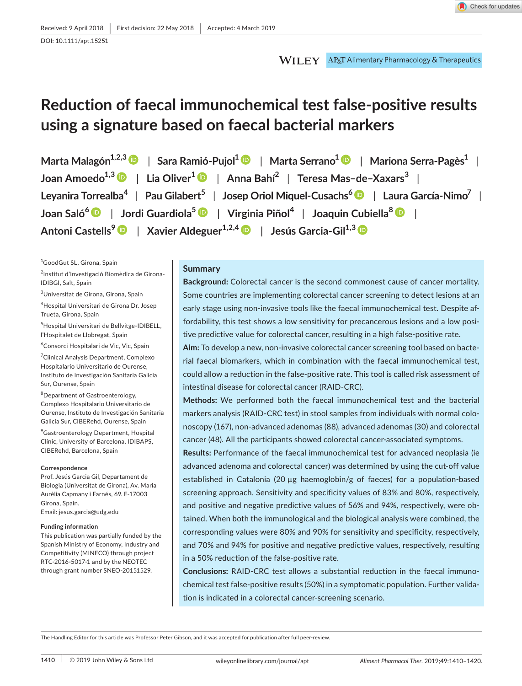# **Reduction of faecal immunochemical test false‐positive results using a signature based on faecal bacterial markers**

**Marta Malagón1,2,3** | **Sara Ramió‐Pujol1** | **Marta Serrano1** | **Mariona Serra‐Pagès1** | **Joan Amoedo1,[3](https://orcid.org/0000-0003-2186-6463)** | **Lia Oliver1** | **Anna Bahí2** | **Teresa Mas–de–Xaxars<sup>3</sup>** | **Leyanira Torrealba4** | **Pau Gilabert5** | **Josep Oriol Miquel‐Cusachs[6](https://orcid.org/0000-0003-3482-2726)** | **Laura García‐Nimo7** | **Joan Saló<sup>6</sup>** | **Jordi Guardiola5** | **Virginia Piñol<sup>4</sup>** | **Joaquin Cubiella<sup>8</sup>** | **Antoni Castells9** | **Xavier Aldeguer1,2,4** | **Jesús Garcia‐Gil1,3**

<sup>1</sup>GoodGut SL, Girona, Spain

2 Institut d'Investigació Biomèdica de Girona‐ IDIBGI, Salt, Spain

3 Universitat de Girona, Girona, Spain

4 Hospital Universitari de Girona Dr. Josep Trueta, Girona, Spain

5 Hospital Universitari de Bellvitge‐IDIBELL, l'Hospitalet de Llobregat, Spain

6 Consorci Hospitalari de Vic, Vic, Spain

7 Clinical Analysis Department, Complexo Hospitalario Universitario de Ourense, Instituto de Investigación Sanitaria Galicia Sur, Ourense, Spain

8 Department of Gastroenterology, Complexo Hospitalario Universitario de Ourense, Instituto de Investigación Sanitaria Galicia Sur, CIBERehd, Ourense, Spain

9 Gastroenterology Department, Hospital Clínic, University of Barcelona, IDIBAPS, CIBERehd, Barcelona, Spain

#### **Correspondence**

Prof. Jesús Garcia Gil, Departament de Biologia (Universitat de Girona), Av. Maria Aurèlia Capmany i Farnés, 69. E-17003 Girona, Spain. Email: [jesus.garcia@udg.edu](mailto:jesus.garcia@udg.edu)

#### **Funding information**

This publication was partially funded by the Spanish Ministry of Economy, Industry and Competitivity (MINECO) through project RTC‐2016‐5017‐1 and by the NEOTEC through grant number SNEO‐20151529.

### **Summary**

**Background:** Colorectal cancer is the second commonest cause of cancer mortality. Some countries are implementing colorectal cancer screening to detect lesions at an early stage using non-invasive tools like the faecal immunochemical test. Despite affordability, this test shows a low sensitivity for precancerous lesions and a low positive predictive value for colorectal cancer, resulting in a high false-positive rate.

**Aim:** To develop a new, non‐invasive colorectal cancer screening tool based on bacte‐ rial faecal biomarkers, which in combination with the faecal immunochemical test, could allow a reduction in the false‐positive rate. This tool is called risk assessment of intestinal disease for colorectal cancer (RAID‐CRC).

**Methods:** We performed both the faecal immunochemical test and the bacterial markers analysis (RAID‐CRC test) in stool samples from individuals with normal colo‐ noscopy (167), non‐advanced adenomas (88), advanced adenomas (30) and colorectal cancer (48). All the participants showed colorectal cancer‐associated symptoms.

**Results:** Performance of the faecal immunochemical test for advanced neoplasia (ie advanced adenoma and colorectal cancer) was determined by using the cut‐off value established in Catalonia (20 µg haemoglobin/g of faeces) for a population‐based screening approach. Sensitivity and specificity values of 83% and 80%, respectively, and positive and negative predictive values of 56% and 94%, respectively, were ob‐ tained. When both the immunological and the biological analysis were combined, the corresponding values were 80% and 90% for sensitivity and specificity, respectively, and 70% and 94% for positive and negative predictive values, respectively, resulting in a 50% reduction of the false‐positive rate.

**Conclusions:** RAID‐CRC test allows a substantial reduction in the faecal immuno‐ chemical test false‐positive results (50%) in a symptomatic population. Further valida‐ tion is indicated in a colorectal cancer‐screening scenario.

The Handling Editor for this article was Professor Peter Gibson, and it was accepted for publication after full peer-review.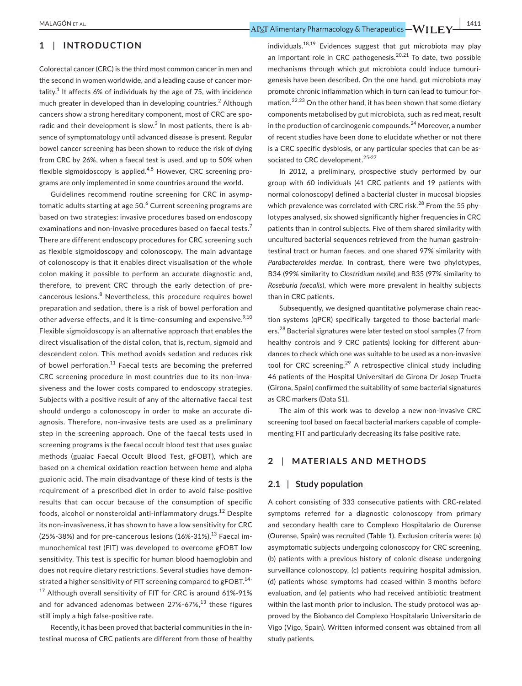### **1** | **INTRODUCTION**

Colorectal cancer (CRC) is the third most common cancer in men and the second in women worldwide, and a leading cause of cancer mortality.<sup>1</sup> It affects 6% of individuals by the age of 75, with incidence much greater in developed than in developing countries.<sup>2</sup> Although cancers show a strong hereditary component, most of CRC are spo‐ radic and their development is slow. $^3$  In most patients, there is absence of symptomatology until advanced disease is present. Regular bowel cancer screening has been shown to reduce the risk of dying from CRC by 26%, when a faecal test is used, and up to 50% when flexible sigmoidoscopy is applied. $4,5$  However, CRC screening programs are only implemented in some countries around the world.

Guidelines recommend routine screening for CRC in asymp‐ tomatic adults starting at age 50. $^6$  Current screening programs are based on two strategies: invasive procedures based on endoscopy examinations and non-invasive procedures based on faecal tests.<sup>7</sup> There are different endoscopy procedures for CRC screening such as flexible sigmoidoscopy and colonoscopy. The main advantage of colonoscopy is that it enables direct visualisation of the whole colon making it possible to perform an accurate diagnostic and, therefore, to prevent CRC through the early detection of pre‐ cancerous lesions.<sup>8</sup> Nevertheless, this procedure requires bowel preparation and sedation, there is a risk of bowel perforation and other adverse effects, and it is time-consuming and expensive.<sup>9,10</sup> Flexible sigmoidoscopy is an alternative approach that enables the direct visualisation of the distal colon, that is, rectum, sigmoid and descendent colon. This method avoids sedation and reduces risk of bowel perforation. $11$  Faecal tests are becoming the preferred CRC screening procedure in most countries due to its non‐inva‐ siveness and the lower costs compared to endoscopy strategies. Subjects with a positive result of any of the alternative faecal test should undergo a colonoscopy in order to make an accurate di‐ agnosis. Therefore, non‐invasive tests are used as a preliminary step in the screening approach. One of the faecal tests used in screening programs is the faecal occult blood test that uses guaiac methods (guaiac Faecal Occult Blood Test, gFOBT), which are based on a chemical oxidation reaction between heme and alpha guaionic acid. The main disadvantage of these kind of tests is the requirement of a prescribed diet in order to avoid false-positive results that can occur because of the consumption of specific foods, alcohol or nonsteroidal anti-inflammatory drugs.<sup>12</sup> Despite its non‐invasiveness, it has shown to have a low sensitivity for CRC (25%‐38%) and for pre‐cancerous lesions (16%‐31%).13 Faecal im‐ munochemical test (FIT) was developed to overcome gFOBT low sensitivity. This test is specific for human blood haemoglobin and does not require dietary restrictions. Several studies have demon‐ strated a higher sensitivity of FIT screening compared to  $g$ FOBT.<sup>14-</sup>  $17$  Although overall sensitivity of FIT for CRC is around 61%-91% and for advanced adenomas between 27%-67%,<sup>13</sup> these figures still imply a high false‐positive rate.

Recently, it has been proved that bacterial communities in the in‐ testinal mucosa of CRC patients are different from those of healthy individuals.18,19 Evidences suggest that gut microbiota may play an important role in CRC pathogenesis.<sup>20,21</sup> To date, two possible mechanisms through which gut microbiota could induce tumouri‐ genesis have been described. On the one hand, gut microbiota may promote chronic inflammation which in turn can lead to tumour for‐ mation.22,23 On the other hand, it has been shown that some dietary components metabolised by gut microbiota, such as red meat, result in the production of carcinogenic compounds.<sup>24</sup> Moreover, a number of recent studies have been done to elucidate whether or not there is a CRC specific dysbiosis, or any particular species that can be as‐ sociated to CRC development.<sup>25-27</sup>

In 2012, a preliminary, prospective study performed by our group with 60 individuals (41 CRC patients and 19 patients with normal colonoscopy) defined a bacterial cluster in mucosal biopsies which prevalence was correlated with CRC risk.<sup>28</sup> From the 55 phylotypes analysed, six showed significantly higher frequencies in CRC patients than in control subjects. Five of them shared similarity with uncultured bacterial sequences retrieved from the human gastroin‐ testinal tract or human faeces, and one shared 97% similarity with *Parabacteroides merdae*. In contrast, there were two phylotypes, B34 (99% similarity to *Clostridium nexile*) and B35 (97% similarity to *Roseburia faecalis*), which were more prevalent in healthy subjects than in CRC patients.

Subsequently, we designed quantitative polymerase chain reac‐ tion systems (qPCR) specifically targeted to those bacterial mark‐ ers.<sup>28</sup> Bacterial signatures were later tested on stool samples (7 from healthy controls and 9 CRC patients) looking for different abundances to check which one was suitable to be used as a non‐invasive tool for CRC screening.<sup>29</sup> A retrospective clinical study including 46 patients of the Hospital Universitari de Girona Dr Josep Trueta (Girona, Spain) confirmed the suitability of some bacterial signatures as CRC markers (Data S1).

The aim of this work was to develop a new non‐invasive CRC screening tool based on faecal bacterial markers capable of comple‐ menting FIT and particularly decreasing its false positive rate.

### **2** | **MATERIALS AND METHODS**

### **2.1** | **Study population**

A cohort consisting of 333 consecutive patients with CRC‐related symptoms referred for a diagnostic colonoscopy from primary and secondary health care to Complexo Hospitalario de Ourense (Ourense, Spain) was recruited (Table 1). Exclusion criteria were: (a) asymptomatic subjects undergoing colonoscopy for CRC screening, (b) patients with a previous history of colonic disease undergoing surveillance colonoscopy, (c) patients requiring hospital admission, (d) patients whose symptoms had ceased within 3 months before evaluation, and (e) patients who had received antibiotic treatment within the last month prior to inclusion. The study protocol was approved by the Biobanco del Complexo Hospitalario Universitario de Vigo (Vigo, Spain). Written informed consent was obtained from all study patients.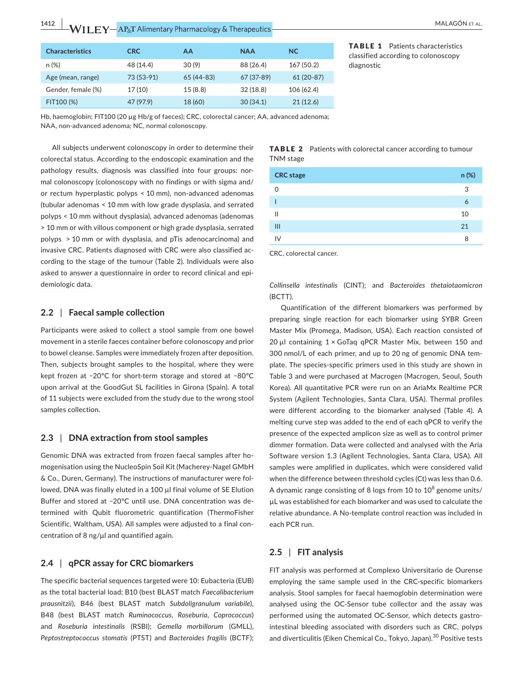| <b>Characteristics</b> | <b>CRC</b> | AA         | <b>NAA</b> | NC.         |
|------------------------|------------|------------|------------|-------------|
| $n (\%)$               | 48 (14.4)  | 30(9)      | 88 (26.4)  | 167(50.2)   |
| Age (mean, range)      | 73 (53-91) | 65 (44-83) | 67 (37-89) | $61(20-87)$ |
| Gender, female (%)     | 17(10)     | 15(8.8)    | 32(18.8)   | 106 (62.4)  |
| FIT100 (%)             | 47 (97.9)  | 18 (60)    | 30(34.1)   | 21(12.6)    |
|                        |            |            |            |             |

TABLE 1 Patients characteristics classified according to colonoscopy diagnostic

Hb, haemoglobin; FIT100 (20 µg Hb/g of faeces); CRC, colorectal cancer; AA, advanced adenoma; NAA, non‐advanced adenoma; NC, normal colonoscopy.

All subjects underwent colonoscopy in order to determine their colorectal status. According to the endoscopic examination and the pathology results, diagnosis was classified into four groups: nor‐ mal colonoscopy (colonoscopy with no findings or with sigma and/ or rectum hyperplastic polyps < 10 mm), non‐advanced adenomas (tubular adenomas < 10 mm with low grade dysplasia, and serrated polyps < 10 mm without dysplasia), advanced adenomas (adenomas > 10 mm or with villous component or high grade dysplasia, serrated polyps > 10 mm or with dysplasia, and pTis adenocarcinoma) and invasive CRC. Patients diagnosed with CRC were also classified ac‐ cording to the stage of the tumour (Table 2). Individuals were also asked to answer a questionnaire in order to record clinical and epi‐ demiologic data.

### **2.2** | **Faecal sample collection**

Participants were asked to collect a stool sample from one bowel movement in a sterile faeces container before colonoscopy and prior to bowel cleanse. Samples were immediately frozen after deposition. Then, subjects brought samples to the hospital, where they were kept frozen at −20ºC for short‐term storage and stored at −80ºC upon arrival at the GoodGut SL facilities in Girona (Spain). A total of 11 subjects were excluded from the study due to the wrong stool samples collection.

### **2.3** | **DNA extraction from stool samples**

Genomic DNA was extracted from frozen faecal samples after ho‐ mogenisation using the NucleoSpin Soil Kit (Macherey‐Nagel GMbH & Co., Duren, Germany). The instructions of manufacturer were fol‐ lowed, DNA was finally eluted in a 100 µl final volume of SE Elution Buffer and stored at −20ºC until use. DNA concentration was de‐ termined with Qubit fluorometric quantification (ThermoFisher Scientific, Waltham, USA). All samples were adjusted to a final con‐ centration of 8 ng/µl and quantified again.

### **2.4** | **qPCR assay for CRC biomarkers**

The specific bacterial sequences targeted were 10: Eubacteria (EUB) as the total bacterial load; B10 (best BLAST match *Faecalibacterium prausnitzii*), B46 (best BLAST match *Subdoligranulum variabile*), B48 (best BLAST match *Ruminococcus*, *Roseburia*, *Coprococcus*) and *Roseburia intestinalis* (RSBI); *Gemella morbillorum* (GMLL), *Peptostreptococcus stomatis* (PTST) and *Bacteroides fragilis* (BCTF);

### TABLE 2 Patients with colorectal cancer according to tumour TNM stage

| <b>CRC</b> stage | n (%) |
|------------------|-------|
| 0                | 3     |
|                  | 6     |
| $\mathsf{II}$    | 10    |
| Ш                | 21    |
| IV               | 8     |

CRC, colorectal cancer.

*Collinsella intestinalis* (CINT); and *Bacteroides thetaiotaomicron* (BCTT).

Quantification of the different biomarkers was performed by preparing single reaction for each biomarker using SYBR Green Master Mix (Promega, Madison, USA). Each reaction consisted of 20 µl containing 1 × GoTaq qPCR Master Mix, between 150 and 300 nmol/L of each primer, and up to 20 ng of genomic DNA tem‐ plate. The species‐specific primers used in this study are shown in Table 3 and were purchased at Macrogen (Macrogen, Seoul, South Korea). All quantitative PCR were run on an AriaMx Realtime PCR System (Agilent Technologies, Santa Clara, USA). Thermal profiles were different according to the biomarker analysed (Table 4). A melting curve step was added to the end of each qPCR to verify the presence of the expected amplicon size as well as to control primer dimmer formation. Data were collected and analysed with the Aria Software version 1.3 (Agilent Technologies, Santa Clara, USA). All samples were amplified in duplicates, which were considered valid when the difference between threshold cycles (Ct) was less than 0.6. A dynamic range consisting of 8 logs from 10 to  $10^8$  genome units/ µL was established for each biomarker and was used to calculate the relative abundance. A No‐template control reaction was included in each PCR run.

### **2.5** | **FIT analysis**

FIT analysis was performed at Complexo Universitario de Ourense employing the same sample used in the CRC‐specific biomarkers analysis. Stool samples for faecal haemoglobin determination were analysed using the OC‐Sensor tube collector and the assay was performed using the automated OC‐Sensor, which detects gastro‐ intestinal bleeding associated with disorders such as CRC, polyps and diverticulitis (Eiken Chemical Co., Tokyo, Japan).<sup>30</sup> Positive tests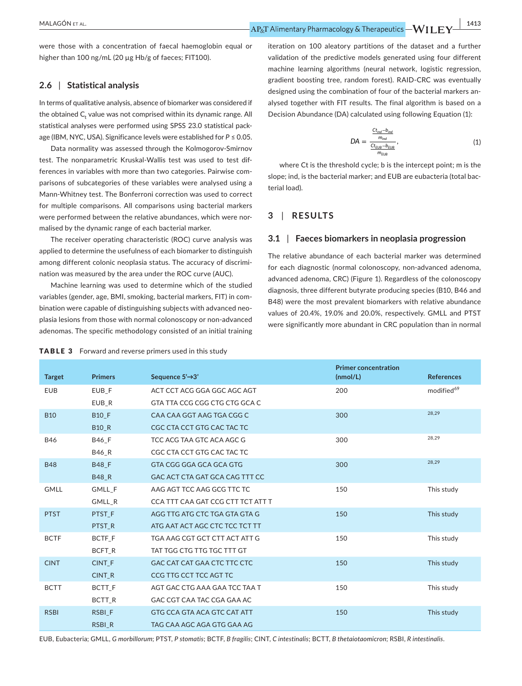were those with a concentration of faecal haemoglobin equal or higher than 100 ng/mL (20 µg Hb/g of faeces; FIT100).

### **2.6** | **Statistical analysis**

In terms of qualitative analysis, absence of biomarker was considered if the obtained  ${\sf C}_{\sf t}$  value was not comprised within its dynamic range. All statistical analyses were performed using SPSS 23.0 statistical pack‐ age (IBM, NYC, USA). Significance levels were established for *P* ≤ 0.05.

Data normality was assessed through the Kolmogorov‐Smirnov test. The nonparametric Kruskal‐Wallis test was used to test dif‐ ferences in variables with more than two categories. Pairwise com‐ parisons of subcategories of these variables were analysed using a Mann‐Whitney test. The Bonferroni correction was used to correct for multiple comparisons. All comparisons using bacterial markers were performed between the relative abundances, which were normalised by the dynamic range of each bacterial marker.

The receiver operating characteristic (ROC) curve analysis was applied to determine the usefulness of each biomarker to distinguish among different colonic neoplasia status. The accuracy of discrimination was measured by the area under the ROC curve (AUC).

Machine learning was used to determine which of the studied variables (gender, age, BMI, smoking, bacterial markers, FIT) in com‐ bination were capable of distinguishing subjects with advanced neo‐ plasia lesions from those with normal colonoscopy or non‐advanced adenomas. The specific methodology consisted of an initial training iteration on 100 aleatory partitions of the dataset and a further validation of the predictive models generated using four different machine learning algorithms (neural network, logistic regression, gradient boosting tree, random forest). RAID‐CRC was eventually designed using the combination of four of the bacterial markers an‐ alysed together with FIT results. The final algorithm is based on a Decision Abundance (DA) calculated using following Equation (1):

$$
DA = \frac{\frac{Ct_{ind} - b_{ind}}{m_{ind}}}{\frac{Ct_{EUB} - b_{EUB}}{m_{EUB}}},
$$
\n(1)

where Ct is the threshold cycle; b is the intercept point; m is the slope; ind, is the bacterial marker; and EUB are eubacteria (total bac‐ terial load).

### **3** | **RESULTS**

### **3.1** | **Faeces biomarkers in neoplasia progression**

The relative abundance of each bacterial marker was determined for each diagnostic (normal colonoscopy, non‐advanced adenoma, advanced adenoma, CRC) (Figure 1). Regardless of the colonoscopy diagnosis, three different butyrate producing species (B10, B46 and B48) were the most prevalent biomarkers with relative abundance values of 20.4%, 19.0% and 20.0%, respectively. GMLL and PTST were significantly more abundant in CRC population than in normal

| <b>Target</b> | <b>Primers</b> | Sequence $5' \rightarrow 3'$      | <b>Primer concentration</b><br>(mmol/L) | <b>References</b>      |
|---------------|----------------|-----------------------------------|-----------------------------------------|------------------------|
| <b>EUB</b>    | EUB F          | ACT CCT ACG GGA GGC AGC AGT       | 200                                     | modified <sup>69</sup> |
|               | EUB_R          | GTA TTA CCG CGG CTG CTG GCA C     |                                         |                        |
| <b>B10</b>    | <b>B10 F</b>   | CAA CAA GGT AAG TGA CGG C         | 300                                     | 28,29                  |
|               | <b>B10 R</b>   | CGC CTA CCT GTG CAC TAC TC        |                                         |                        |
| <b>B46</b>    | B46 F          | TCC ACG TAA GTC ACA AGC G         | 300                                     | 28,29                  |
|               | <b>B46 R</b>   | CGC CTA CCT GTG CAC TAC TC        |                                         |                        |
| <b>B48</b>    | <b>B48 F</b>   | GTA CGG GGA GCA GCA GTG           | 300                                     | 28,29                  |
|               | <b>B48 R</b>   | GAC ACT CTA GAT GCA CAG TTT CC    |                                         |                        |
| <b>GMLL</b>   | <b>GMLL F</b>  | AAG AGT TCC AAG GCG TTC TC        | 150                                     | This study             |
|               | GMLL_R         | CCA TTT CAA GAT CCG CTT TCT ATT T |                                         |                        |
| <b>PTST</b>   | PTST F         | AGG TTG ATG CTC TGA GTA GTA G     | 150                                     | This study             |
|               | PTST R         | ATG AAT ACT AGC CTC TCC TCT TT    |                                         |                        |
| <b>BCTF</b>   | BCTF F         | TGA AAG CGT GCT CTT ACT ATT G     | 150                                     | This study             |
|               | <b>BCFT R</b>  | TAT TGG CTG TTG TGC TTT GT        |                                         |                        |
| <b>CINT</b>   | <b>CINT F</b>  | GAC CAT CAT GAA CTC TTC CTC       | 150                                     | This study             |
|               | <b>CINT R</b>  | CCG TTG CCT TCC AGT TC            |                                         |                        |
| <b>BCTT</b>   | <b>BCTTF</b>   | AGT GAC CTG AAA GAA TCC TAA T     | 150                                     | This study             |
|               | BCTT_R         | GAC CGT CAA TAC CGA GAA AC        |                                         |                        |
| <b>RSBI</b>   | RSBI F         | GTG CCA GTA ACA GTC CAT ATT       | 150                                     | This study             |
|               | RSBI R         | TAG CAA AGC AGA GTG GAA AG        |                                         |                        |

TABLE 3 Forward and reverse primers used in this study

EUB, Eubacteria; GMLL, *G morbillorum*; PTST, *P stomatis*; BCTF, *B fragilis*; CINT, *C intestinalis*; BCTT, *B thetaiotaomicron*; RSBI, *R intestinalis*.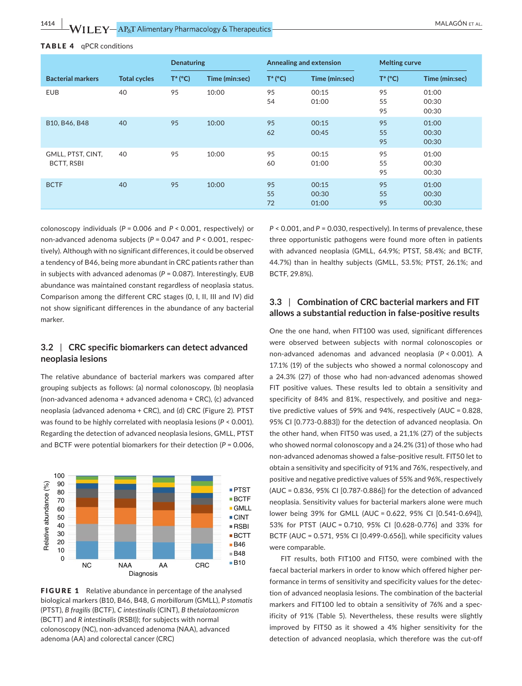|                                        |                     | <b>Denaturing</b> |                | Annealing and extension |                         | <b>Melting curve</b> |                         |
|----------------------------------------|---------------------|-------------------|----------------|-------------------------|-------------------------|----------------------|-------------------------|
| <b>Bacterial markers</b>               | <b>Total cycles</b> | $T^a$ (°C)        | Time (min:sec) | $T^a$ (°C)              | Time (min:sec)          | $T^a$ (°C)           | Time (min:sec)          |
| <b>EUB</b>                             | 40                  | 95                | 10:00          | 95<br>54                | 00:15<br>01:00          | 95<br>55<br>95       | 01:00<br>00:30<br>00:30 |
| B10, B46, B48                          | 40                  | 95                | 10:00          | 95<br>62                | 00:15<br>00:45          | 95<br>55<br>95       | 01:00<br>00:30<br>00:30 |
| GMLL, PTST, CINT,<br><b>BCTT, RSBI</b> | 40                  | 95                | 10:00          | 95<br>60                | 00:15<br>01:00          | 95<br>55<br>95       | 01:00<br>00:30<br>00:30 |
| <b>BCTF</b>                            | 40                  | 95                | 10:00          | 95<br>55<br>72          | 00:15<br>00:30<br>01:00 | 95<br>55<br>95       | 01:00<br>00:30<br>00:30 |

TABLE 4 **qPCR** conditions

colonoscopy individuals (*P* = 0.006 and *P* < 0.001, respectively) or non‐advanced adenoma subjects (*P* = 0.047 and *P* < 0.001, respec‐ tively). Although with no significant differences, it could be observed a tendency of B46, being more abundant in CRC patients rather than in subjects with advanced adenomas (*P* = 0.087). Interestingly, EUB abundance was maintained constant regardless of neoplasia status. Comparison among the different CRC stages (0, I, II, III and IV) did not show significant differences in the abundance of any bacterial marker.

### **3.2** | **CRC specific biomarkers can detect advanced neoplasia lesions**

The relative abundance of bacterial markers was compared after grouping subjects as follows: (a) normal colonoscopy, (b) neoplasia (non‐advanced adenoma + advanced adenoma + CRC), (c) advanced neoplasia (advanced adenoma + CRC), and (d) CRC (Figure 2). PTST was found to be highly correlated with neoplasia lesions (*P* < 0.001). Regarding the detection of advanced neoplasia lesions, GMLL, PTST and BCTF were potential biomarkers for their detection (*P* = 0.006,



FIGURE 1 Relative abundance in percentage of the analysed biological markers (B10, B46, B48, *G morbillorum* (GMLL), *P stomatis* (PTST), *B fragilis* (BCTF), *C intestinalis* (CINT), *B thetaiotaomicron* (BCTT) and *R intestinalis* (RSBI)); for subjects with normal colonoscopy (NC), non‐advanced adenoma (NAA), advanced

*P* < 0.001, and *P* = 0.030, respectively). In terms of prevalence, these three opportunistic pathogens were found more often in patients with advanced neoplasia (GMLL, 64.9%; PTST, 58.4%; and BCTF, 44.7%) than in healthy subjects (GMLL, 53.5%; PTST, 26.1%; and BCTF, 29.8%).

### **3.3** | **Combination of CRC bacterial markers and FIT allows a substantial reduction in false‐positive results**

One the one hand, when FIT100 was used, significant differences were observed between subjects with normal colonoscopies or non‐advanced adenomas and advanced neoplasia (*P* < 0.001). A 17.1% (19) of the subjects who showed a normal colonoscopy and a 24.3% (27) of those who had non‐advanced adenomas showed FIT positive values. These results led to obtain a sensitivity and specificity of 84% and 81%, respectively, and positive and negative predictive values of 59% and 94%, respectively (AUC = 0.828, 95% CI [0.773‐0.883]) for the detection of advanced neoplasia. On the other hand, when FIT50 was used, a 21,1% (27) of the subjects who showed normal colonoscopy and a 24.2% (31) of those who had non‐advanced adenomas showed a false‐positive result. FIT50 let to obtain a sensitivity and specificity of 91% and 76%, respectively, and positive and negative predictive values of 55% and 96%, respectively (AUC = 0.836, 95% CI [0.787‐0.886]) for the detection of advanced neoplasia. Sensitivity values for bacterial markers alone were much lower being 39% for GMLL (AUC = 0.622, 95% CI [0.541‐0.694]), 53% for PTST (AUC = 0.710, 95% CI [0.628‐0.776] and 33% for BCTF (AUC = 0.571, 95% CI [0.499‐0.656]), while specificity values were comparable.

FIT results, both FIT100 and FIT50, were combined with the faecal bacterial markers in order to know which offered higher per‐ formance in terms of sensitivity and specificity values for the detec‐ tion of advanced neoplasia lesions. The combination of the bacterial markers and FIT100 led to obtain a sensitivity of 76% and a spec‐ ificity of 91% (Table 5). Nevertheless, these results were slightly improved by FIT50 as it showed a 4% higher sensitivity for the detection of advanced neoplasia, which therefore was the cut-off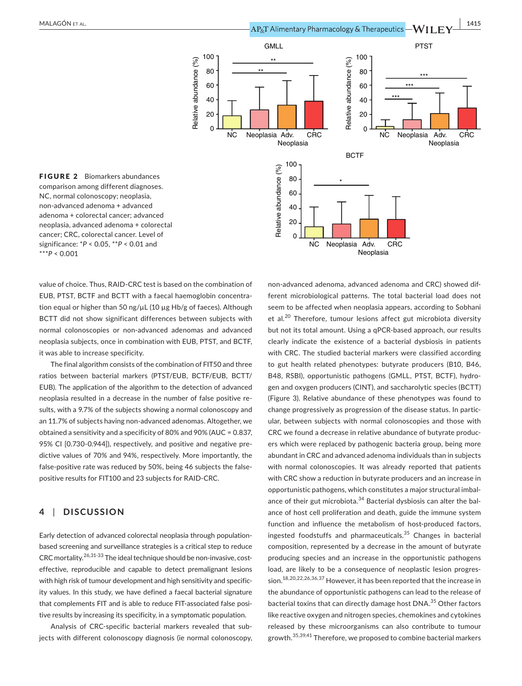**|** MALAGÓN et al. **1415**



FIGURE 2 Biomarkers abundances comparison among different diagnoses. NC, normal colonoscopy; neoplasia, non‐advanced adenoma + advanced adenoma + colorectal cancer; advanced neoplasia, advanced adenoma + colorectal cancer; CRC, colorectal cancer. Level of significance: \**P* < 0.05, \*\**P* < 0.01 and \*\*\**P* < 0.001

value of choice. Thus, RAID‐CRC test is based on the combination of EUB, PTST, BCTF and BCTT with a faecal haemoglobin concentra‐ tion equal or higher than 50 ng/µL (10 µg Hb/g of faeces). Although BCTT did not show significant differences between subjects with normal colonoscopies or non‐advanced adenomas and advanced neoplasia subjects, once in combination with EUB, PTST, and BCTF, it was able to increase specificity.

The final algorithm consists of the combination of FIT50 and three ratios between bacterial markers (PTST/EUB, BCTF/EUB, BCTT/ EUB). The application of the algorithm to the detection of advanced neoplasia resulted in a decrease in the number of false positive re‐ sults, with a 9.7% of the subjects showing a normal colonoscopy and an 11.7% of subjects having non‐advanced adenomas. Altogether, we obtained a sensitivity and a specificity of 80% and 90% (AUC = 0.837, 95% CI [0.730‐0.944]), respectively, and positive and negative pre‐ dictive values of 70% and 94%, respectively. More importantly, the false-positive rate was reduced by 50%, being 46 subjects the falsepositive results for FIT100 and 23 subjects for RAID‐CRC.

### **4** | **DISCUSSION**

Early detection of advanced colorectal neoplasia through population‐ based screening and surveillance strategies is a critical step to reduce CRC mortality.<sup>26,31-33</sup> The ideal technique should be non-invasive, costeffective, reproducible and capable to detect premalignant lesions with high risk of tumour development and high sensitivity and specificity values. In this study, we have defined a faecal bacterial signature that complements FIT and is able to reduce FIT‐associated false posi‐ tive results by increasing its specificity, in a symptomatic population.

Analysis of CRC‐specific bacterial markers revealed that sub‐ jects with different colonoscopy diagnosis (ie normal colonoscopy, non‐advanced adenoma, advanced adenoma and CRC) showed dif‐ ferent microbiological patterns. The total bacterial load does not seem to be affected when neoplasia appears, according to Sobhani et al.<sup>20</sup> Therefore, tumour lesions affect gut microbiota diversity but not its total amount. Using a qPCR‐based approach, our results clearly indicate the existence of a bacterial dysbiosis in patients with CRC. The studied bacterial markers were classified according to gut health related phenotypes: butyrate producers (B10, B46, B48, RSBI), opportunistic pathogens (GMLL, PTST, BCTF), hydro‐ gen and oxygen producers (CINT), and saccharolytic species (BCTT) (Figure 3). Relative abundance of these phenotypes was found to change progressively as progression of the disease status. In partic‐ ular, between subjects with normal colonoscopies and those with CRC we found a decrease in relative abundance of butyrate produc‐ ers which were replaced by pathogenic bacteria group, being more abundant in CRC and advanced adenoma individuals than in subjects with normal colonoscopies. It was already reported that patients with CRC show a reduction in butyrate producers and an increase in opportunistic pathogens, which constitutes a major structural imbal‐ ance of their gut microbiota. $34$  Bacterial dysbiosis can alter the balance of host cell proliferation and death, guide the immune system function and influence the metabolism of host-produced factors, ingested foodstuffs and pharmaceuticals.35 Changes in bacterial composition, represented by a decrease in the amount of butyrate producing species and an increase in the opportunistic pathogens load, are likely to be a consequence of neoplastic lesion progres‐ sion.18,20,22,26,36,37 However, it has been reported that the increase in the abundance of opportunistic pathogens can lead to the release of bacterial toxins that can directly damage host DNA.<sup>35</sup> Other factors like reactive oxygen and nitrogen species, chemokines and cytokines released by these microorganisms can also contribute to tumour growth.35,39,41 Therefore, we proposed to combine bacterial markers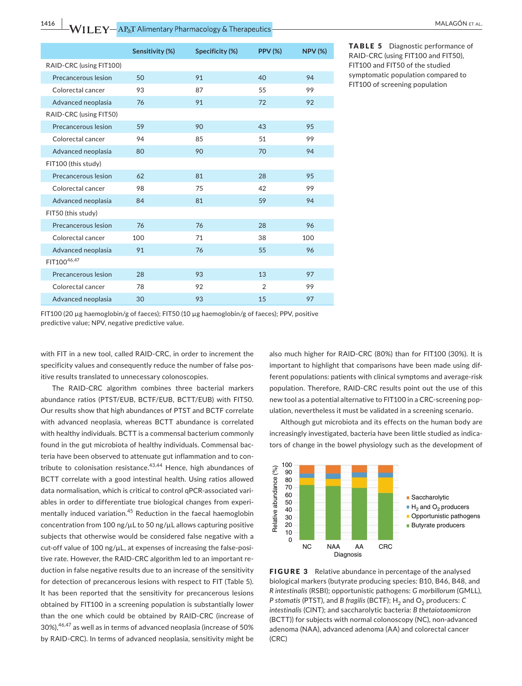|                         | Sensitivity (%) | Specificity (%) | <b>PPV (%)</b> | <b>NPV (%)</b> |
|-------------------------|-----------------|-----------------|----------------|----------------|
| RAID-CRC (using FIT100) |                 |                 |                |                |
| Precancerous lesion     | 50              | 91              | 40             | 94             |
| Colorectal cancer       | 93              | 87              | 55             | 99             |
| Advanced neoplasia      | 76              | 91              | 72             | 92             |
| RAID-CRC (using FIT50)  |                 |                 |                |                |
| Precancerous lesion     | 59              | 90              | 43             | 95             |
| Colorectal cancer       | 94              | 85              | 51             | 99             |
| Advanced neoplasia      | 80              | 90              | 70             | 94             |
| FIT100 (this study)     |                 |                 |                |                |
| Precancerous lesion     | 62              | 81              | 28             | 95             |
| Colorectal cancer       | 98              | 75              | 42             | 99             |
| Advanced neoplasia      | 84              | 81              | 59             | 94             |
| FIT50 (this study)      |                 |                 |                |                |
| Precancerous lesion     | 76              | 76              | 28             | 96             |
| Colorectal cancer       | 100             | 71              | 38             | 100            |
| Advanced neoplasia      | 91              | 76              | 55             | 96             |
| FIT10046,47             |                 |                 |                |                |
| Precancerous lesion     | 28              | 93              | 13             | 97             |
| Colorectal cancer       | 78              | 92              | $\overline{2}$ | 99             |
| Advanced neoplasia      | 30              | 93              | 15             | 97             |

FIT100 (20 µg haemoglobin/g of faeces); FIT50 (10 µg haemoglobin/g of faeces); PPV, positive predictive value; NPV, negative predictive value.

with FIT in a new tool, called RAID‐CRC, in order to increment the specificity values and consequently reduce the number of false positive results translated to unnecessary colonoscopies.

The RAID‐CRC algorithm combines three bacterial markers abundance ratios (PTST/EUB, BCTF/EUB, BCTT/EUB) with FIT50. Our results show that high abundances of PTST and BCTF correlate with advanced neoplasia, whereas BCTT abundance is correlated with healthy individuals. BCTT is a commensal bacterium commonly found in the gut microbiota of healthy individuals. Commensal bac‐ teria have been observed to attenuate gut inflammation and to con‐ tribute to colonisation resistance. $43,44$  Hence, high abundances of BCTT correlate with a good intestinal health. Using ratios allowed data normalisation, which is critical to control qPCR‐associated vari‐ ables in order to differentiate true biological changes from experi‐ mentally induced variation.45 Reduction in the faecal haemoglobin concentration from 100 ng/µL to 50 ng/µL allows capturing positive subjects that otherwise would be considered false negative with a cut-off value of 100 ng/µL, at expenses of increasing the false-positive rate. However, the RAID‐CRC algorithm led to an important re‐ duction in false negative results due to an increase of the sensitivity for detection of precancerous lesions with respect to FIT (Table 5). It has been reported that the sensitivity for precancerous lesions obtained by FIT100 in a screening population is substantially lower than the one which could be obtained by RAID‐CRC (increase of 30%),46,47 as well as in terms of advanced neoplasia (increase of 50% by RAID‐CRC). In terms of advanced neoplasia, sensitivity might be

also much higher for RAID‐CRC (80%) than for FIT100 (30%). It is important to highlight that comparisons have been made using dif‐ ferent populations: patients with clinical symptoms and average‐risk population. Therefore, RAID‐CRC results point out the use of this new tool as a potential alternative to FIT100 in a CRC‐screening pop‐ ulation, nevertheless it must be validated in a screening scenario.

Although gut microbiota and its effects on the human body are increasingly investigated, bacteria have been little studied as indicators of change in the bowel physiology such as the development of



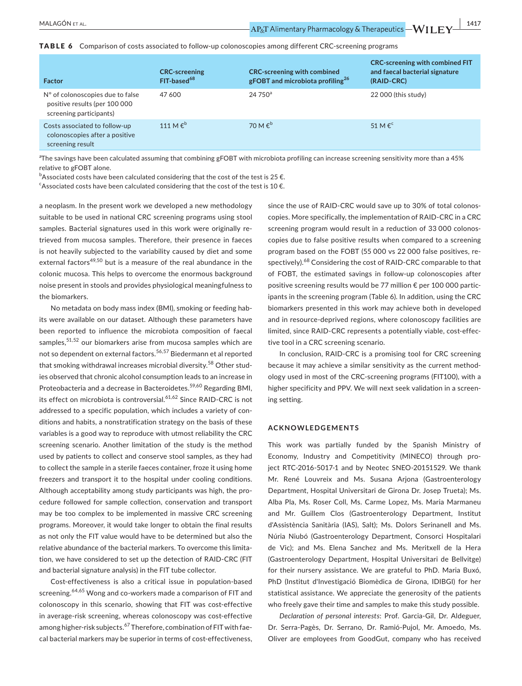TABLE 6 Comparison of costs associated to follow-up colonoscopies among different CRC-screening programs

| <b>Factor</b>                                                                                | <b>CRC-screening</b><br>FIT-based <sup>68</sup> | <b>CRC-screening with combined</b><br>gFOBT and microbiota profiling <sup>26</sup> | <b>CRC-screening with combined FIT</b><br>and faecal bacterial signature<br>(RAID-CRC) |
|----------------------------------------------------------------------------------------------|-------------------------------------------------|------------------------------------------------------------------------------------|----------------------------------------------------------------------------------------|
| N° of colonoscopies due to false<br>positive results (per 100 000<br>screening participants) | 47 600                                          | $24750^{\circ}$                                                                    | 22 000 (this study)                                                                    |
| Costs associated to follow-up<br>colonoscopies after a positive<br>screening result          | 111 M $\epsilon^{\rm b}$                        | 70 M $\varepsilon^{\text{b}}$                                                      | 51 M $\varepsilon$ <sup>c</sup>                                                        |

<sup>a</sup>The savings have been calculated assuming that combining gFOBT with microbiota profiling can increase screening sensitivity more than a 45% relative to gFOBT alone.

 $^{\rm b}$ Associated costs have been calculated considering that the cost of the test is 25  $\bm{\epsilon}.$ 

 $\epsilon$ Associated costs have been calculated considering that the cost of the test is 10 $\epsilon$ .

a neoplasm. In the present work we developed a new methodology suitable to be used in national CRC screening programs using stool samples. Bacterial signatures used in this work were originally retrieved from mucosa samples. Therefore, their presence in faeces is not heavily subjected to the variability caused by diet and some external factors<sup>49,50</sup> but is a measure of the real abundance in the colonic mucosa. This helps to overcome the enormous background noise present in stools and provides physiological meaningfulness to the biomarkers.

No metadata on body mass index (BMI), smoking or feeding hab‐ its were available on our dataset. Although these parameters have been reported to influence the microbiota composition of faecal samples,<sup>51,52</sup> our biomarkers arise from mucosa samples which are not so dependent on external factors.<sup>56,57</sup> Biedermann et al reported that smoking withdrawal increases microbial diversity.<sup>58</sup> Other studies observed that chronic alcohol consumption leads to an increase in Proteobacteria and a decrease in Bacteroidetes.<sup>59,60</sup> Regarding BMI, its effect on microbiota is controversial.<sup>61,62</sup> Since RAID-CRC is not addressed to a specific population, which includes a variety of con‐ ditions and habits, a nonstratification strategy on the basis of these variables is a good way to reproduce with utmost reliability the CRC screening scenario. Another limitation of the study is the method used by patients to collect and conserve stool samples, as they had to collect the sample in a sterile faeces container, froze it using home freezers and transport it to the hospital under cooling conditions. Although acceptability among study participants was high, the pro‐ cedure followed for sample collection, conservation and transport may be too complex to be implemented in massive CRC screening programs. Moreover, it would take longer to obtain the final results as not only the FIT value would have to be determined but also the relative abundance of the bacterial markers. To overcome this limita‐ tion, we have considered to set up the detection of RAID‐CRC (FIT and bacterial signature analysis) in the FIT tube collector.

Cost‐effectiveness is also a critical issue in population‐based screening.<sup>64,65</sup> Wong and co-workers made a comparison of FIT and colonoscopy in this scenario, showing that FIT was cost-effective in average‐risk screening, whereas colonoscopy was cost‐effective among higher-risk subjects.<sup>67</sup> Therefore, combination of FIT with faecal bacterial markers may be superior in terms of cost-effectiveness, since the use of RAID-CRC would save up to 30% of total colonoscopies. More specifically, the implementation of RAID‐CRC in a CRC screening program would result in a reduction of 33 000 colonos‐ copies due to false positive results when compared to a screening program based on the FOBT (55 000 vs 22 000 false positives, re‐ spectively).<sup>68</sup> Considering the cost of RAID-CRC comparable to that of FOBT, the estimated savings in follow‐up colonoscopies after positive screening results would be 77 million € per 100 000 participants in the screening program (Table 6). In addition, using the CRC biomarkers presented in this work may achieve both in developed and in resource‐deprived regions, where colonoscopy facilities are limited, since RAID-CRC represents a potentially viable, cost-effective tool in a CRC screening scenario.

In conclusion, RAID-CRC is a promising tool for CRC screening because it may achieve a similar sensitivity as the current method‐ ology used in most of the CRC‐screening programs (FIT100), with a higher specificity and PPV. We will next seek validation in a screening setting.

#### **ACKNOWLEDGEMENTS**

This work was partially funded by the Spanish Ministry of Economy, Industry and Competitivity (MINECO) through pro‐ ject RTC‐2016‐5017‐1 and by Neotec SNEO‐20151529. We thank Mr. René Louvreix and Ms. Susana Arjona (Gastroenterology Department, Hospital Universitari de Girona Dr. Josep Trueta); Ms. Alba Pla, Ms. Roser Coll, Ms. Carme Lopez, Ms. Maria Marmaneu and Mr. Guillem Clos (Gastroenterology Department, Institut d'Assistència Sanitària (IAS), Salt); Ms. Dolors Serinanell and Ms. Núria Niubó (Gastroenterology Department, Consorci Hospitalari de Vic); and Ms. Elena Sanchez and Ms. Meritxell de la Hera (Gastroenterology Department, Hospital Universitari de Bellvitge) for their nursery assistance. We are grateful to PhD. Maria Buxó, PhD (Institut d'Investigació Biomèdica de Girona, IDIBGI) for her statistical assistance. We appreciate the generosity of the patients who freely gave their time and samples to make this study possible.

*Declaration of personal interests*: Prof. Garcia‐Gil, Dr. Aldeguer, Dr. Serra‐Pagès, Dr. Serrano, Dr. Ramió‐Pujol, Mr. Amoedo, Ms. Oliver are employees from GoodGut, company who has received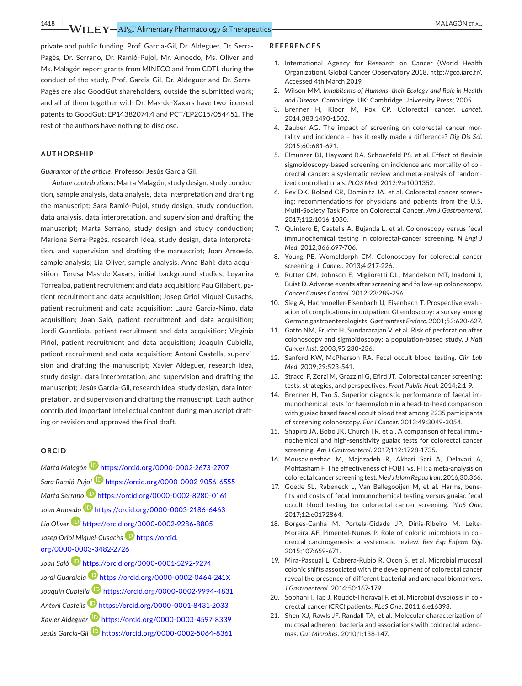private and public funding. Prof. Garcia‐Gil, Dr. Aldeguer, Dr. Serra‐ Pagès, Dr. Serrano, Dr. Ramió‐Pujol, Mr. Amoedo, Ms. Oliver and Ms. Malagón report grants from MINECO and from CDTI, during the conduct of the study. Prof. Garcia‐Gil, Dr. Aldeguer and Dr. Serra‐ Pagès are also GoodGut shareholders, outside the submitted work; and all of them together with Dr. Mas‐de‐Xaxars have two licensed patents to GoodGut: EP14382074.4 and PCT/EP2015/054451. The rest of the authors have nothing to disclose.

#### **AUTHORSHIP**

*Guarantor of the article*: Professor Jesús Garcia Gil.

*Author contributions*: Marta Malagón, study design, study conduc‐ tion, sample analysis, data analysis, data interpretation and drafting the manuscript; Sara Ramió‐Pujol, study design, study conduction, data analysis, data interpretation, and supervision and drafting the manuscript; Marta Serrano, study design and study conduction; Mariona Serra‐Pagès, research idea, study design, data interpreta‐ tion, and supervision and drafting the manuscript; Joan Amoedo, sample analysis; Lia Oliver, sample analysis. Anna Bahí: data acqui‐ sition; Teresa Mas-de-Xaxars, initial background studies; Leyanira Torrealba, patient recruitment and data acquisition; Pau Gilabert, pa‐ tient recruitment and data acquisition; Josep Oriol Miquel‐Cusachs, patient recruitment and data acquisition; Laura García‐Nimo, data acquisition; Joan Saló, patient recruitment and data acquisition; Jordi Guardiola, patient recruitment and data acquisition; Virginia Piñol, patient recruitment and data acquisition; Joaquín Cubiella, patient recruitment and data acquisition; Antoni Castells, supervi‐ sion and drafting the manuscript; Xavier Aldeguer, research idea, study design, data interpretation, and supervision and drafting the manuscript; Jesús Garcia‐Gil, research idea, study design, data inter‐ pretation, and supervision and drafting the manuscript. Each author contributed important intellectual content during manuscript draft‐ ing or revision and approved the final draft.

### **ORCID**

*Marta Malagón* <https://orcid.org/0000-0002-2673-2707> *Sara Ramió‐Pujol* <https://orcid.org/0000-0002-9056-6555> *Marta Serrano* <https://orcid.org/0000-0002-8280-0161> *Joan Amoedo* <https://orcid.org/0000-0003-2186-6463> *Lia Oliver* <https://orcid.org/0000-0002-9286-8805> *Josep Oriol Miquel‐Cusach[s](https://orcid.org/0000-0003-3482-2726)* [https://orcid.](https://orcid.org/0000-0003-3482-2726) [org/0000-0003-3482-2726](https://orcid.org/0000-0003-3482-2726)

*Joan Saló* <https://orcid.org/0000-0001-5292-9274> *Jordi Guardiol[a](https://orcid.org/0000-0002-0464-241X)* <https://orcid.org/0000-0002-0464-241X> *Joaquin Cubiell[a](https://orcid.org/0000-0002-9994-4831)* <https://orcid.org/0000-0002-9994-4831> *Antoni Castell[s](https://orcid.org/0000-0001-8431-2033)* <https://orcid.org/0000-0001-8431-2033> *Xavier Aldegue[r](https://orcid.org/0000-0003-4597-8339)* <https://orcid.org/0000-0003-4597-8339> *Jesús Garcia‐Gil* <https://orcid.org/0000-0002-5064-8361>

#### **REFERENCES**

- 1. International Agency for Research on Cancer (World Health Organization). Global Cancer Observatory 2018. [http://gco.iarc.fr/.](http://gco.iarc.fr/) Accessed 4th March 2019.
- 2. Wilson MM. *Inhabitants of Humans: their Ecology and Role in Health and Disease*. Cambridge, UK: Cambridge University Press; 2005.
- 3. Brenner H, Kloor M, Pox CP. Colorectal cancer. *Lancet*. 2014;383:1490‐1502.
- 4. Zauber AG. The impact of screening on colorectal cancer mor‐ tality and incidence – has it really made a difference? *Dig Dis Sci*. 2015;60:681‐691.
- 5. Elmunzer BJ, Hayward RA, Schoenfeld PS, et al. Effect of flexible sigmoidoscopy-based screening on incidence and mortality of colorectal cancer: a systematic review and meta‐analysis of random‐ ized controlled trials. *PLOS Med*. 2012;9:e1001352.
- 6. Rex DK, Boland CR, Dominitz JA, et al. Colorectal cancer screen‐ ing: recommendations for physicians and patients from the U.S. Multi‐Society Task Force on Colorectal Cancer. *Am J Gastroenterol*. 2017;112:1016‐1030.
- 7. Quintero E, Castells A, Bujanda L, et al. Colonoscopy versus fecal immunochemical testing in colorectal‐cancer screening. *N Engl J Med*. 2012;366:697‐706.
- 8. Young PE, Womeldorph CM. Colonoscopy for colorectal cancer screening. *J. Cancer*. 2013;4:217‐226.
- 9. Rutter CM, Johnson E, Miglioretti DL, Mandelson MT, Inadomi J, Buist D. Adverse events after screening and follow‐up colonoscopy. *Cancer Causes Control*. 2012;23:289‐296.
- 10. Sieg A, Hachmoeller‐Eisenbach U, Eisenbach T. Prospective evalu‐ ation of complications in outpatient GI endoscopy: a survey among German gastroenterologists. *Gastrointest Endosc*. 2001;53:620‐627.
- 11. Gatto NM, Frucht H, Sundararajan V, et al. Risk of perforation after colonoscopy and sigmoidoscopy: a population‐based study. *J Natl Cancer Inst*. 2003;95:230‐236.
- 12. Sanford KW, McPherson RA. Fecal occult blood testing. *Clin Lab Med*. 2009;29:523‐541.
- 13. Stracci F, Zorzi M, Grazzini G, Efird JT. Colorectal cancer screening: tests, strategies, and perspectives. *Front Public Heal*. 2014;2:1‐9.
- 14. Brenner H, Tao S. Superior diagnostic performance of faecal im‐ munochemical tests for haemoglobin in a head‐to‐head comparison with guaiac based faecal occult blood test among 2235 participants of screening colonoscopy. *Eur J Cancer*. 2013;49:3049‐3054.
- 15. Shapiro JA, Bobo JK, Church TR, et al. A comparison of fecal immu‐ nochemical and high‐sensitivity guaiac tests for colorectal cancer screening. *Am J Gastroenterol*. 2017;112:1728‐1735.
- 16. Mousavinezhad M, Majdzadeh R, Akbari Sari A, Delavari A, Mohtasham F. The effectiveness of FOBT vs. FIT: a meta-analysis on colorectal cancer screening test. *Med J Islam Repub Iran*. 2016;30:366.
- 17. Goede SL, Rabeneck L, Van Ballegooijen M, et al. Harms, bene‐ fits and costs of fecal immunochemical testing versus guaiac fecal occult blood testing for colorectal cancer screening. *PLoS One*. 2017;12:e0172864.
- 18. Borges-Canha M, Portela-Cidade JP, Dinis-Ribeiro M, Leite-Moreira AF, Pimentel‐Nunes P. Role of colonic microbiota in col‐ orectal carcinogenesis: a systematic review. *Rev Esp Enferm Dig*. 2015;107:659‐671.
- 19. Mira‐Pascual L, Cabrera‐Rubio R, Ocon S, et al. Microbial mucosal colonic shifts associated with the development of colorectal cancer reveal the presence of different bacterial and archaeal biomarkers. *J Gastroenterol*. 2014;50:167‐179.
- 20. Sobhani I, Tap J, Roudot‐Thoraval F, et al. Microbial dysbiosis in col‐ orectal cancer (CRC) patients. *PLoS One*. 2011;6:e16393.
- 21. Shen XJ, Rawls JF, Randall TA, et al. Molecular characterization of mucosal adherent bacteria and associations with colorectal adeno‐ mas. *Gut Microbes*. 2010;1:138‐147.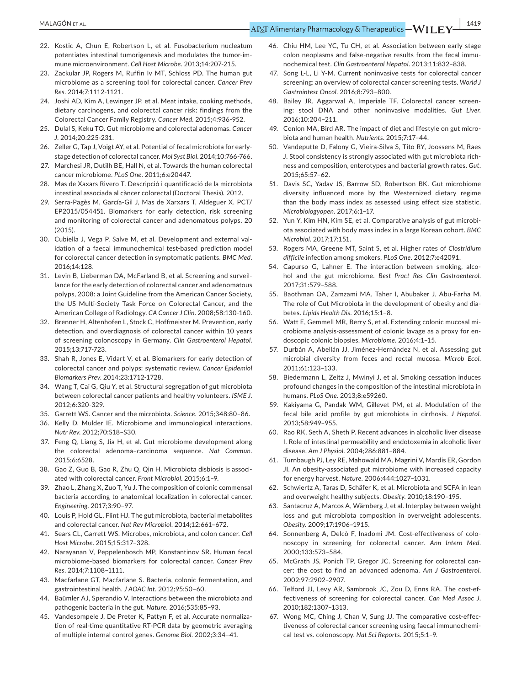## **APART Alimentary Pharmacology & Therapeutics - WILEY** 1419

- 22. Kostic A, Chun E, Robertson L, et al. Fusobacterium nucleatum potentiates intestinal tumorigenesis and modulates the tumor‐im‐ mune microenvironment. *Cell Host Microbe*. 2013;14:207‐215.
- 23. Zackular JP, Rogers M, Ruffin Iv MT, Schloss PD. The human gut microbiome as a screening tool for colorectal cancer. *Cancer Prev Res*. 2014;7:1112‐1121.
- 24. Joshi AD, Kim A, Lewinger JP, et al. Meat intake, cooking methods, dietary carcinogens, and colorectal cancer risk: findings from the Colorectal Cancer Family Registry. *Cancer Med*. 2015;4:936‐952.
- 25. Dulal S, Keku TO. Gut microbiome and colorectal adenomas. *Cancer J*. 2014;20:225‐231.
- 26. Zeller G, Tap J, Voigt AY, et al. Potential of fecal microbiota for early‐ stage detection of colorectal cancer. *Mol Syst Biol*. 2014;10:766‐766.
- 27. Marchesi JR, Dutilh BE, Hall N, et al. Towards the human colorectal cancer microbiome. *PLoS One*. 2011;6:e20447.
- 28. Mas de Xaxars Rivero T. Descripció i quantificació de la microbiota intestinal associada al càncer colorectal (Doctoral Thesis). 2012.
- 29. Serra‐Pagès M, García‐Gil J, Mas de Xarxars T, Aldeguer X. PCT/ EP2015/054451. Biomarkers for early detection, risk screening and monitoring of colorectal cancer and adenomatous polyps. 20 (2015).
- 30. Cubiella J, Vega P, Salve M, et al. Development and external val‐ idation of a faecal immunochemical test-based prediction model for colorectal cancer detection in symptomatic patients. *BMC Med*. 2016;14:128.
- 31. Levin B, Lieberman DA, McFarland B, et al. Screening and surveil‐ lance for the early detection of colorectal cancer and adenomatous polyps, 2008: a Joint Guideline from the American Cancer Society, the US Multi‐Society Task Force on Colorectal Cancer, and the American College of Radiology. *CA Cancer J Clin*. 2008;58:130‐160.
- 32. Brenner H, Altenhofen L, Stock C, Hoffmeister M. Prevention, early detection, and overdiagnosis of colorectal cancer within 10 years of screening colonoscopy in Germany. *Clin Gastroenterol Hepatol*. 2015;13:717‐723.
- 33. Shah R, Jones E, Vidart V, et al. Biomarkers for early detection of colorectal cancer and polyps: systematic review. *Cancer Epidemiol Biomarkers Prev*. 2014;23:1712‐1728.
- 34. Wang T, Cai G, Qiu Y, et al. Structural segregation of gut microbiota between colorectal cancer patients and healthy volunteers. *ISME J*. 2012;6:320‐329.
- 35. Garrett WS. Cancer and the microbiota. *Science*. 2015;348:80–86.
- 36. Kelly D, Mulder IE. Microbiome and immunological interactions. *Nutr Rev*. 2012;70:S18–S30.
- 37. Feng Q, Liang S, Jia H, et al. Gut microbiome development along the colorectal adenoma–carcinoma sequence. *Nat Commun*. 2015;6:6528.
- 38. Gao Z, Guo B, Gao R, Zhu Q, Qin H. Microbiota disbiosis is associ‐ ated with colorectal cancer. *Front Microbiol*. 2015;6:1–9.
- 39. Zhao L, Zhang X, Zuo T, Yu J. The composition of colonic commensal bacteria according to anatomical localization in colorectal cancer. *Engineering*. 2017;3:90–97.
- 40. Louis P, Hold GL, Flint HJ. The gut microbiota, bacterial metabolites and colorectal cancer. *Nat Rev Microbiol*. 2014;12:661–672.
- 41. Sears CL, Garrett WS. Microbes, microbiota, and colon cancer. *Cell Host Microbe*. 2015;15:317–328.
- 42. Narayanan V, Peppelenbosch MP, Konstantinov SR. Human fecal microbiome‐based biomarkers for colorectal cancer. *Cancer Prev Res*. 2014;7:1108–1111.
- 43. Macfarlane GT, Macfarlane S. Bacteria, colonic fermentation, and gastrointestinal health. *J AOAC Int*. 2012;95:50–60.
- 44. Baümler AJ, Sperandio V. Interactions between the microbiota and pathogenic bacteria in the gut. *Nature*. 2016;535:85–93.
- 45. Vandesompele J, De Preter K, Pattyn F, et al. Accurate normalization of real‐time quantitative RT‐PCR data by geometric averaging of multiple internal control genes. *Genome Biol*. 2002;3:34–41.
- 46. Chiu HM, Lee YC, Tu CH, et al. Association between early stage colon neoplasms and false‐negative results from the fecal immu‐ nochemical test. *Clin Gastroenterol Hepatol*. 2013;11:832–838.
- 47. Song L-L, Li Y-M. Current noninvasive tests for colorectal cancer screening: an overview of colorectal cancer screening tests. *World J Gastrointest Oncol*. 2016;8:793–800.
- 48. Bailey JR, Aggarwal A, Imperiale TF. Colorectal cancer screen‐ ing: stool DNA and other noninvasive modalities. *Gut Liver*. 2016;10:204–211.
- 49. Conlon MA, Bird AR, The impact of diet and lifestyle on gut microbiota and human health. *Nutrients*. 2015;7:17–44.
- 50. Vandeputte D, Falony G, Vieira‐Silva S, Tito RY, Joossens M, Raes J. Stool consistency is strongly associated with gut microbiota rich‐ ness and composition, enterotypes and bacterial growth rates. *Gut*. 2015;65:57–62.
- 51. Davis SC, Yadav JS, Barrow SD, Robertson BK. Gut microbiome diversity influenced more by the Westernized dietary regime than the body mass index as assessed using effect size statistic. *Microbiologyopen*. 2017;6:1–17.
- 52. Yun Y, Kim HN, Kim SE, et al. Comparative analysis of gut microbi‐ ota associated with body mass index in a large Korean cohort. *BMC Microbiol*. 2017;17:151.
- 53. Rogers MA, Greene MT, Saint S, et al. Higher rates of *Clostridium difficile* infection among smokers. *PLoS One*. 2012;7:e42091.
- 54. Capurso G, Lahner E. The interaction between smoking, alcohol and the gut microbiome. *Best Pract Res Clin Gastroenterol*. 2017;31:579–588.
- 55. Baothman OA, Zamzami MA, Taher I, Abubaker J, Abu‐Farha M. The role of Gut Microbiota in the development of obesity and dia‐ betes. *Lipids Health Dis*. 2016;15:1–8.
- 56. Watt E, Gemmell MR, Berry S, et al. Extending colonic mucosal mi‐ crobiome analysis‐assessment of colonic lavage as a proxy for en‐ doscopic colonic biopsies. *Microbiome*. 2016;4:1–15.
- 57. Durbán A, Abellán JJ, Jiménez‐Hernández N, et al. Assessing gut microbial diversity from feces and rectal mucosa. *Microb Ecol*. 2011;61:123–133.
- 58. Biedermann L, Zeitz J, Mwinyi J, et al. Smoking cessation induces profound changes in the composition of the intestinal microbiota in humans. *PLoS One*. 2013;8:e59260.
- 59. Kakiyama G, Pandak WM, Gillevet PM, et al. Modulation of the fecal bile acid profile by gut microbiota in cirrhosis. *J Hepatol*. 2013;58:949–955.
- 60. Rao RK, Seth A, Sheth P. Recent advances in alcoholic liver disease I. Role of intestinal permeability and endotoxemia in alcoholic liver disease. *Am J Physiol*. 2004;286:881–884.
- 61. Turnbaugh PJ, Ley RE, Mahowald MA, Magrini V, Mardis ER, Gordon JI. An obesity‐associated gut microbiome with increased capacity for energy harvest. *Nature*. 2006;444:1027–1031.
- 62. Schwiertz A, Taras D, Schäfer K, et al. Microbiota and SCFA in lean and overweight healthy subjects. *Obesity*. 2010;18:190–195.
- 63. Santacruz A, Marcos A, Wärnberg J, et al. Interplay between weight loss and gut microbiota composition in overweight adolescents. *Obesity*. 2009;17:1906–1915.
- 64. Sonnenberg A, Delcò F, Inadomi JM. Cost-effectiveness of colonoscopy in screening for colorectal cancer. *Ann Intern Med*. 2000;133:573–584.
- 65. McGrath JS, Ponich TP, Gregor JC. Screening for colorectal can‐ cer: the cost to find an advanced adenoma. *Am J Gastroenterol*. 2002;97:2902–2907.
- 66. Telford JJ, Levy AR, Sambrook JC, Zou D, Enns RA. The cost‐ef‐ fectiveness of screening for colorectal cancer. *Can Med Assoc J*. 2010;182:1307–1313.
- 67. Wong MC, Ching J, Chan V, Sung JJ. The comparative cost‐effec‐ tiveness of colorectal cancer screening using faecal immunochemi‐ cal test vs. colonoscopy. *Nat Sci Reports*. 2015;5:1–9.